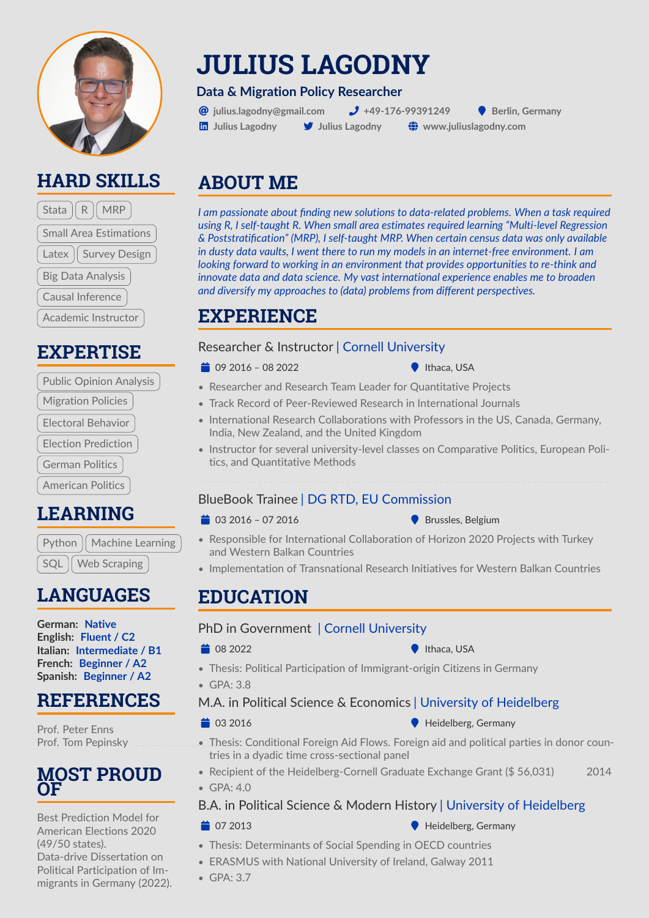

# **HARD SKILLS**

| Stata $\parallel$ R $\parallel$ MRP |
|-------------------------------------|
| <b>Small Area Estimations</b>       |
| Latex   Survey Design               |
| <b>Big Data Analysis</b>            |
| Causal Inference                    |
| <b>Academic Instructor</b>          |

# **EXPERTISE**

| <b>Public Opinion Analysis</b> |
|--------------------------------|
| <b>Migration Policies</b>      |
| Electoral Behavior             |
| <b>Election Prediction</b>     |
| <b>German Politics</b>         |
| <b>American Politics</b>       |
|                                |

**LEARNING**

Python  $\parallel$  Machine Learning SQL | Web Scraping

# **LANGUAGES**

**German: Native English: Fluent / C2 Italian: Intermediate / B1 French: Beginner / A2 Spanish: Beginner / A2**

## **REFERENCES**

[Prof. Peter Enns](https://peterenns.org/peter-k-enns/) [Prof. Tom Pepinsky](https://tompepinsky.com/)

### **MOST PROUD OF**

Best Prediction Model for American Elections 2020 (49/50 states). Data-drive Dissertation on Political Participation of Immigrants in Germany (2022).

# **JULIUS LAGODNY**

#### **Data & Migration Policy Researcher**

 $\bigcirc$  iulius.lagodny@gmail.com  $\bigcirc$  +49-176-99391249  $\bigcirc$  Berlin. Germany  $\overline{\mathbf{in}}$  Julius Lagodny  $\overline{\mathbf{y}}$  Julius Lagodny  $\overline{\mathbf{w}}$  www.juliuslagodny.com

# **ABOUT ME**

*I am passionate about finding new solutions to data-related problems. When a task required using R, I self-taught R. When small area estimates required learning "Multi-level Regression & Poststratification" (MRP), I self-taught MRP. When certain census data was only available in dusty data vaults, I went there to run my models in an internet-free environment. I am looking forward to working in an environment that provides opportunities to re-think and innovate data and data science. My vast international experience enables me to broaden and diversify my approaches to (data) problems from different perspectives.*

# **EXPERIENCE**

#### Researcher & Instructor | Cornell University

- $\Rightarrow$  09 2016 08 2022  $\Rightarrow$  Ithaca, USA
- 
- Researcher and Research Team Leader for Quantitative Projects
- Track Record of Peer-Reviewed Research in International Journals
- International Research Collaborations with Professors in the US, Canada, Germany, India, New Zealand, and the United Kingdom
- Instructor for several university-level classes on Comparative Politics, European Politics, and Quantitative Methods

#### BlueBook Trainee | DG RTD, EU Commission

#### $\bullet$  03 2016 – 07 2016  $\bullet$  Brussles, Belgium

- 
- Responsible for International Collaboration of Horizon 2020 Projects with Turkey and Western Balkan Countries
- Implementation of Transnational Research Initiatives for Western Balkan Countries

# **EDUCATION**

#### PhD in Government | Cornell University

 $\bullet$  1thaca, USA

• Thesis: Political Participation of Immigrant-origin Citizens in Germany

• GPA: 3.8

#### M.A. in Political Science & Economics | University of Heidelberg

 $\bullet$  Heidelberg, Germany

- Thesis: Conditional Foreign Aid Flows. Foreign aid and political parties in donor countries in a dyadic time cross-sectional panel
- Recipient of the Heidelberg-Cornell Graduate Exchange Grant (\$56,031) 2014
- GPA: 4.0

#### B.A. in Political Science & Modern History | University of Heidelberg

#### $\bullet$  Heidelberg, Germany

- Thesis: Determinants of Social Spending in OECD countries
- ERASMUS with National University of Ireland, Galway 2011
- GPA: 3.7